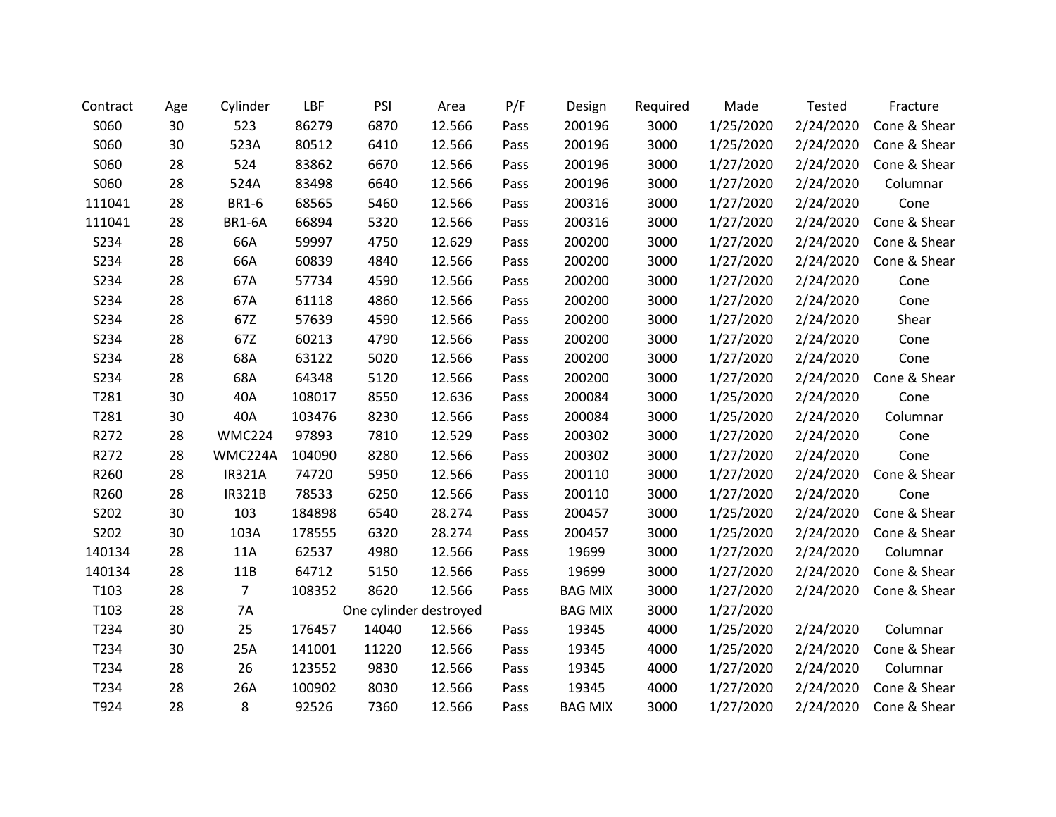| Contract         | Age | Cylinder       | LBF    | PSI                    | Area   | P/F  | Design         | Required | Made      | Tested    | Fracture     |
|------------------|-----|----------------|--------|------------------------|--------|------|----------------|----------|-----------|-----------|--------------|
| S060             | 30  | 523            | 86279  | 6870                   | 12.566 | Pass | 200196         | 3000     | 1/25/2020 | 2/24/2020 | Cone & Shear |
| S060             | 30  | 523A           | 80512  | 6410                   | 12.566 | Pass | 200196         | 3000     | 1/25/2020 | 2/24/2020 | Cone & Shear |
| S060             | 28  | 524            | 83862  | 6670                   | 12.566 | Pass | 200196         | 3000     | 1/27/2020 | 2/24/2020 | Cone & Shear |
| S060             | 28  | 524A           | 83498  | 6640                   | 12.566 | Pass | 200196         | 3000     | 1/27/2020 | 2/24/2020 | Columnar     |
| 111041           | 28  | <b>BR1-6</b>   | 68565  | 5460                   | 12.566 | Pass | 200316         | 3000     | 1/27/2020 | 2/24/2020 | Cone         |
| 111041           | 28  | <b>BR1-6A</b>  | 66894  | 5320                   | 12.566 | Pass | 200316         | 3000     | 1/27/2020 | 2/24/2020 | Cone & Shear |
| S234             | 28  | 66A            | 59997  | 4750                   | 12.629 | Pass | 200200         | 3000     | 1/27/2020 | 2/24/2020 | Cone & Shear |
| S234             | 28  | 66A            | 60839  | 4840                   | 12.566 | Pass | 200200         | 3000     | 1/27/2020 | 2/24/2020 | Cone & Shear |
| S234             | 28  | 67A            | 57734  | 4590                   | 12.566 | Pass | 200200         | 3000     | 1/27/2020 | 2/24/2020 | Cone         |
| S234             | 28  | 67A            | 61118  | 4860                   | 12.566 | Pass | 200200         | 3000     | 1/27/2020 | 2/24/2020 | Cone         |
| S234             | 28  | 67Z            | 57639  | 4590                   | 12.566 | Pass | 200200         | 3000     | 1/27/2020 | 2/24/2020 | Shear        |
| S234             | 28  | 67Z            | 60213  | 4790                   | 12.566 | Pass | 200200         | 3000     | 1/27/2020 | 2/24/2020 | Cone         |
| S234             | 28  | 68A            | 63122  | 5020                   | 12.566 | Pass | 200200         | 3000     | 1/27/2020 | 2/24/2020 | Cone         |
| S234             | 28  | 68A            | 64348  | 5120                   | 12.566 | Pass | 200200         | 3000     | 1/27/2020 | 2/24/2020 | Cone & Shear |
| T281             | 30  | 40A            | 108017 | 8550                   | 12.636 | Pass | 200084         | 3000     | 1/25/2020 | 2/24/2020 | Cone         |
| T281             | 30  | 40A            | 103476 | 8230                   | 12.566 | Pass | 200084         | 3000     | 1/25/2020 | 2/24/2020 | Columnar     |
| R272             | 28  | WMC224         | 97893  | 7810                   | 12.529 | Pass | 200302         | 3000     | 1/27/2020 | 2/24/2020 | Cone         |
| R272             | 28  | WMC224A        | 104090 | 8280                   | 12.566 | Pass | 200302         | 3000     | 1/27/2020 | 2/24/2020 | Cone         |
| R260             | 28  | <b>IR321A</b>  | 74720  | 5950                   | 12.566 | Pass | 200110         | 3000     | 1/27/2020 | 2/24/2020 | Cone & Shear |
| R260             | 28  | <b>IR321B</b>  | 78533  | 6250                   | 12.566 | Pass | 200110         | 3000     | 1/27/2020 | 2/24/2020 | Cone         |
| S202             | 30  | 103            | 184898 | 6540                   | 28.274 | Pass | 200457         | 3000     | 1/25/2020 | 2/24/2020 | Cone & Shear |
| S202             | 30  | 103A           | 178555 | 6320                   | 28.274 | Pass | 200457         | 3000     | 1/25/2020 | 2/24/2020 | Cone & Shear |
| 140134           | 28  | 11A            | 62537  | 4980                   | 12.566 | Pass | 19699          | 3000     | 1/27/2020 | 2/24/2020 | Columnar     |
| 140134           | 28  | 11B            | 64712  | 5150                   | 12.566 | Pass | 19699          | 3000     | 1/27/2020 | 2/24/2020 | Cone & Shear |
| T103             | 28  | $\overline{7}$ | 108352 | 8620                   | 12.566 | Pass | <b>BAG MIX</b> | 3000     | 1/27/2020 | 2/24/2020 | Cone & Shear |
| T <sub>103</sub> | 28  | 7A             |        | One cylinder destroyed |        |      | <b>BAG MIX</b> | 3000     | 1/27/2020 |           |              |
| T234             | 30  | 25             | 176457 | 14040                  | 12.566 | Pass | 19345          | 4000     | 1/25/2020 | 2/24/2020 | Columnar     |
| T234             | 30  | 25A            | 141001 | 11220                  | 12.566 | Pass | 19345          | 4000     | 1/25/2020 | 2/24/2020 | Cone & Shear |
| T234             | 28  | 26             | 123552 | 9830                   | 12.566 | Pass | 19345          | 4000     | 1/27/2020 | 2/24/2020 | Columnar     |
| T234             | 28  | 26A            | 100902 | 8030                   | 12.566 | Pass | 19345          | 4000     | 1/27/2020 | 2/24/2020 | Cone & Shear |
| T924             | 28  | 8              | 92526  | 7360                   | 12.566 | Pass | <b>BAG MIX</b> | 3000     | 1/27/2020 | 2/24/2020 | Cone & Shear |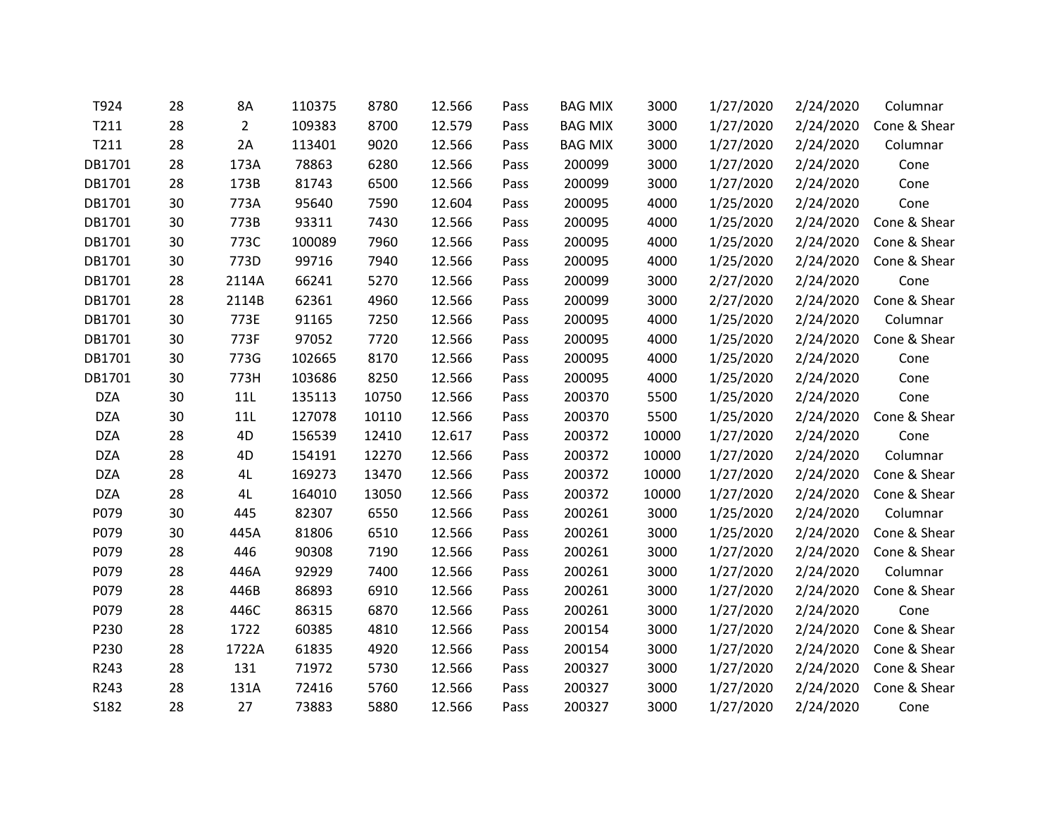| T924       | 28 | 8A             | 110375 | 8780  | 12.566 | Pass | <b>BAG MIX</b> | 3000  | 1/27/2020 | 2/24/2020 | Columnar     |
|------------|----|----------------|--------|-------|--------|------|----------------|-------|-----------|-----------|--------------|
| T211       | 28 | $\overline{2}$ | 109383 | 8700  | 12.579 | Pass | <b>BAG MIX</b> | 3000  | 1/27/2020 | 2/24/2020 | Cone & Shear |
| T211       | 28 | 2A             | 113401 | 9020  | 12.566 | Pass | <b>BAG MIX</b> | 3000  | 1/27/2020 | 2/24/2020 | Columnar     |
| DB1701     | 28 | 173A           | 78863  | 6280  | 12.566 | Pass | 200099         | 3000  | 1/27/2020 | 2/24/2020 | Cone         |
| DB1701     | 28 | 173B           | 81743  | 6500  | 12.566 | Pass | 200099         | 3000  | 1/27/2020 | 2/24/2020 | Cone         |
| DB1701     | 30 | 773A           | 95640  | 7590  | 12.604 | Pass | 200095         | 4000  | 1/25/2020 | 2/24/2020 | Cone         |
| DB1701     | 30 | 773B           | 93311  | 7430  | 12.566 | Pass | 200095         | 4000  | 1/25/2020 | 2/24/2020 | Cone & Shear |
| DB1701     | 30 | 773C           | 100089 | 7960  | 12.566 | Pass | 200095         | 4000  | 1/25/2020 | 2/24/2020 | Cone & Shear |
| DB1701     | 30 | 773D           | 99716  | 7940  | 12.566 | Pass | 200095         | 4000  | 1/25/2020 | 2/24/2020 | Cone & Shear |
| DB1701     | 28 | 2114A          | 66241  | 5270  | 12.566 | Pass | 200099         | 3000  | 2/27/2020 | 2/24/2020 | Cone         |
| DB1701     | 28 | 2114B          | 62361  | 4960  | 12.566 | Pass | 200099         | 3000  | 2/27/2020 | 2/24/2020 | Cone & Shear |
| DB1701     | 30 | 773E           | 91165  | 7250  | 12.566 | Pass | 200095         | 4000  | 1/25/2020 | 2/24/2020 | Columnar     |
| DB1701     | 30 | 773F           | 97052  | 7720  | 12.566 | Pass | 200095         | 4000  | 1/25/2020 | 2/24/2020 | Cone & Shear |
| DB1701     | 30 | 773G           | 102665 | 8170  | 12.566 | Pass | 200095         | 4000  | 1/25/2020 | 2/24/2020 | Cone         |
| DB1701     | 30 | 773H           | 103686 | 8250  | 12.566 | Pass | 200095         | 4000  | 1/25/2020 | 2/24/2020 | Cone         |
| <b>DZA</b> | 30 | 11L            | 135113 | 10750 | 12.566 | Pass | 200370         | 5500  | 1/25/2020 | 2/24/2020 | Cone         |
| <b>DZA</b> | 30 | 11L            | 127078 | 10110 | 12.566 | Pass | 200370         | 5500  | 1/25/2020 | 2/24/2020 | Cone & Shear |
| <b>DZA</b> | 28 | 4D             | 156539 | 12410 | 12.617 | Pass | 200372         | 10000 | 1/27/2020 | 2/24/2020 | Cone         |
| <b>DZA</b> | 28 | 4D             | 154191 | 12270 | 12.566 | Pass | 200372         | 10000 | 1/27/2020 | 2/24/2020 | Columnar     |
| <b>DZA</b> | 28 | 4L             | 169273 | 13470 | 12.566 | Pass | 200372         | 10000 | 1/27/2020 | 2/24/2020 | Cone & Shear |
| <b>DZA</b> | 28 | 4L             | 164010 | 13050 | 12.566 | Pass | 200372         | 10000 | 1/27/2020 | 2/24/2020 | Cone & Shear |
| P079       | 30 | 445            | 82307  | 6550  | 12.566 | Pass | 200261         | 3000  | 1/25/2020 | 2/24/2020 | Columnar     |
| P079       | 30 | 445A           | 81806  | 6510  | 12.566 | Pass | 200261         | 3000  | 1/25/2020 | 2/24/2020 | Cone & Shear |
| P079       | 28 | 446            | 90308  | 7190  | 12.566 | Pass | 200261         | 3000  | 1/27/2020 | 2/24/2020 | Cone & Shear |
| P079       | 28 | 446A           | 92929  | 7400  | 12.566 | Pass | 200261         | 3000  | 1/27/2020 | 2/24/2020 | Columnar     |
| P079       | 28 | 446B           | 86893  | 6910  | 12.566 | Pass | 200261         | 3000  | 1/27/2020 | 2/24/2020 | Cone & Shear |
| P079       | 28 | 446C           | 86315  | 6870  | 12.566 | Pass | 200261         | 3000  | 1/27/2020 | 2/24/2020 | Cone         |
| P230       | 28 | 1722           | 60385  | 4810  | 12.566 | Pass | 200154         | 3000  | 1/27/2020 | 2/24/2020 | Cone & Shear |
| P230       | 28 | 1722A          | 61835  | 4920  | 12.566 | Pass | 200154         | 3000  | 1/27/2020 | 2/24/2020 | Cone & Shear |
| R243       | 28 | 131            | 71972  | 5730  | 12.566 | Pass | 200327         | 3000  | 1/27/2020 | 2/24/2020 | Cone & Shear |
| R243       | 28 | 131A           | 72416  | 5760  | 12.566 | Pass | 200327         | 3000  | 1/27/2020 | 2/24/2020 | Cone & Shear |
| S182       | 28 | 27             | 73883  | 5880  | 12.566 | Pass | 200327         | 3000  | 1/27/2020 | 2/24/2020 | Cone         |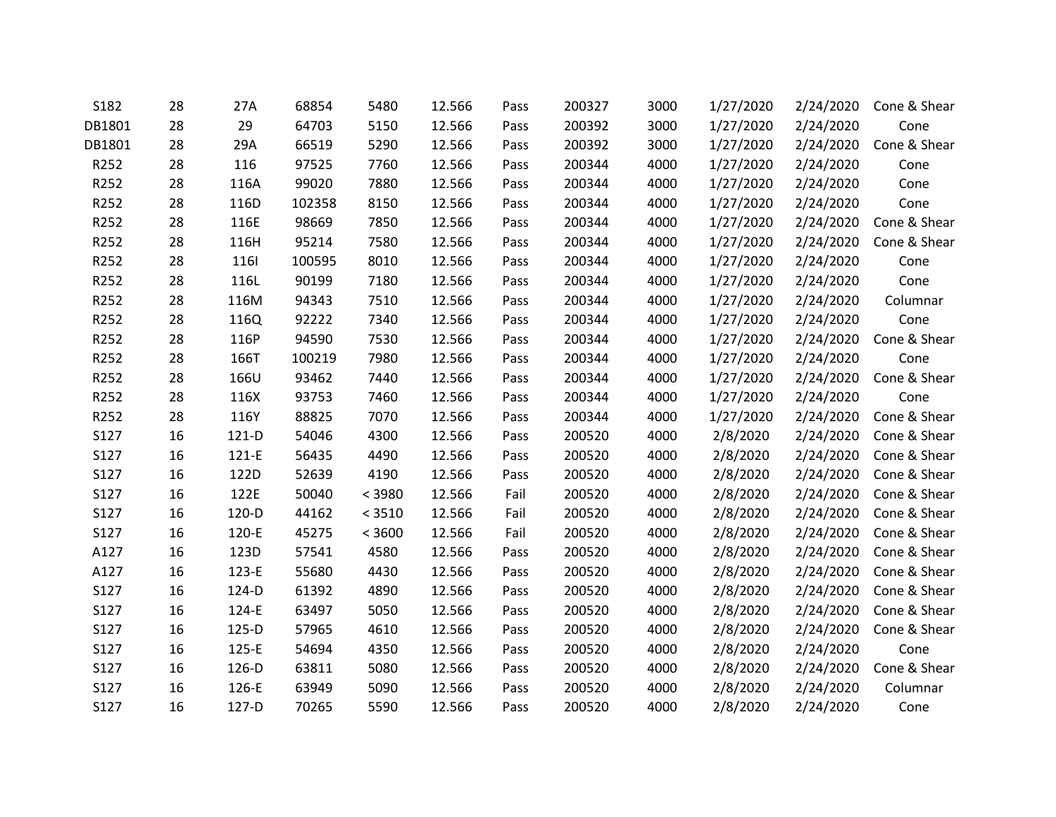| S182   | 28 | 27A     | 68854  | 5480   | 12.566 | Pass | 200327 | 3000 | 1/27/2020 | 2/24/2020 | Cone & Shear |
|--------|----|---------|--------|--------|--------|------|--------|------|-----------|-----------|--------------|
| DB1801 | 28 | 29      | 64703  | 5150   | 12.566 | Pass | 200392 | 3000 | 1/27/2020 | 2/24/2020 | Cone         |
| DB1801 | 28 | 29A     | 66519  | 5290   | 12.566 | Pass | 200392 | 3000 | 1/27/2020 | 2/24/2020 | Cone & Shear |
| R252   | 28 | 116     | 97525  | 7760   | 12.566 | Pass | 200344 | 4000 | 1/27/2020 | 2/24/2020 | Cone         |
| R252   | 28 | 116A    | 99020  | 7880   | 12.566 | Pass | 200344 | 4000 | 1/27/2020 | 2/24/2020 | Cone         |
| R252   | 28 | 116D    | 102358 | 8150   | 12.566 | Pass | 200344 | 4000 | 1/27/2020 | 2/24/2020 | Cone         |
| R252   | 28 | 116E    | 98669  | 7850   | 12.566 | Pass | 200344 | 4000 | 1/27/2020 | 2/24/2020 | Cone & Shear |
| R252   | 28 | 116H    | 95214  | 7580   | 12.566 | Pass | 200344 | 4000 | 1/27/2020 | 2/24/2020 | Cone & Shear |
| R252   | 28 | 1161    | 100595 | 8010   | 12.566 | Pass | 200344 | 4000 | 1/27/2020 | 2/24/2020 | Cone         |
| R252   | 28 | 116L    | 90199  | 7180   | 12.566 | Pass | 200344 | 4000 | 1/27/2020 | 2/24/2020 | Cone         |
| R252   | 28 | 116M    | 94343  | 7510   | 12.566 | Pass | 200344 | 4000 | 1/27/2020 | 2/24/2020 | Columnar     |
| R252   | 28 | 116Q    | 92222  | 7340   | 12.566 | Pass | 200344 | 4000 | 1/27/2020 | 2/24/2020 | Cone         |
| R252   | 28 | 116P    | 94590  | 7530   | 12.566 | Pass | 200344 | 4000 | 1/27/2020 | 2/24/2020 | Cone & Shear |
| R252   | 28 | 166T    | 100219 | 7980   | 12.566 | Pass | 200344 | 4000 | 1/27/2020 | 2/24/2020 | Cone         |
| R252   | 28 | 166U    | 93462  | 7440   | 12.566 | Pass | 200344 | 4000 | 1/27/2020 | 2/24/2020 | Cone & Shear |
| R252   | 28 | 116X    | 93753  | 7460   | 12.566 | Pass | 200344 | 4000 | 1/27/2020 | 2/24/2020 | Cone         |
| R252   | 28 | 116Y    | 88825  | 7070   | 12.566 | Pass | 200344 | 4000 | 1/27/2020 | 2/24/2020 | Cone & Shear |
| S127   | 16 | $121-D$ | 54046  | 4300   | 12.566 | Pass | 200520 | 4000 | 2/8/2020  | 2/24/2020 | Cone & Shear |
| S127   | 16 | 121-E   | 56435  | 4490   | 12.566 | Pass | 200520 | 4000 | 2/8/2020  | 2/24/2020 | Cone & Shear |
| S127   | 16 | 122D    | 52639  | 4190   | 12.566 | Pass | 200520 | 4000 | 2/8/2020  | 2/24/2020 | Cone & Shear |
| S127   | 16 | 122E    | 50040  | < 3980 | 12.566 | Fail | 200520 | 4000 | 2/8/2020  | 2/24/2020 | Cone & Shear |
| S127   | 16 | 120-D   | 44162  | < 3510 | 12.566 | Fail | 200520 | 4000 | 2/8/2020  | 2/24/2020 | Cone & Shear |
| S127   | 16 | 120-E   | 45275  | < 3600 | 12.566 | Fail | 200520 | 4000 | 2/8/2020  | 2/24/2020 | Cone & Shear |
| A127   | 16 | 123D    | 57541  | 4580   | 12.566 | Pass | 200520 | 4000 | 2/8/2020  | 2/24/2020 | Cone & Shear |
| A127   | 16 | 123-E   | 55680  | 4430   | 12.566 | Pass | 200520 | 4000 | 2/8/2020  | 2/24/2020 | Cone & Shear |
| S127   | 16 | 124-D   | 61392  | 4890   | 12.566 | Pass | 200520 | 4000 | 2/8/2020  | 2/24/2020 | Cone & Shear |
| S127   | 16 | 124-E   | 63497  | 5050   | 12.566 | Pass | 200520 | 4000 | 2/8/2020  | 2/24/2020 | Cone & Shear |
| S127   | 16 | $125-D$ | 57965  | 4610   | 12.566 | Pass | 200520 | 4000 | 2/8/2020  | 2/24/2020 | Cone & Shear |
| S127   | 16 | 125-E   | 54694  | 4350   | 12.566 | Pass | 200520 | 4000 | 2/8/2020  | 2/24/2020 | Cone         |
| S127   | 16 | 126-D   | 63811  | 5080   | 12.566 | Pass | 200520 | 4000 | 2/8/2020  | 2/24/2020 | Cone & Shear |
| S127   | 16 | 126-E   | 63949  | 5090   | 12.566 | Pass | 200520 | 4000 | 2/8/2020  | 2/24/2020 | Columnar     |
| S127   | 16 | 127-D   | 70265  | 5590   | 12.566 | Pass | 200520 | 4000 | 2/8/2020  | 2/24/2020 | Cone         |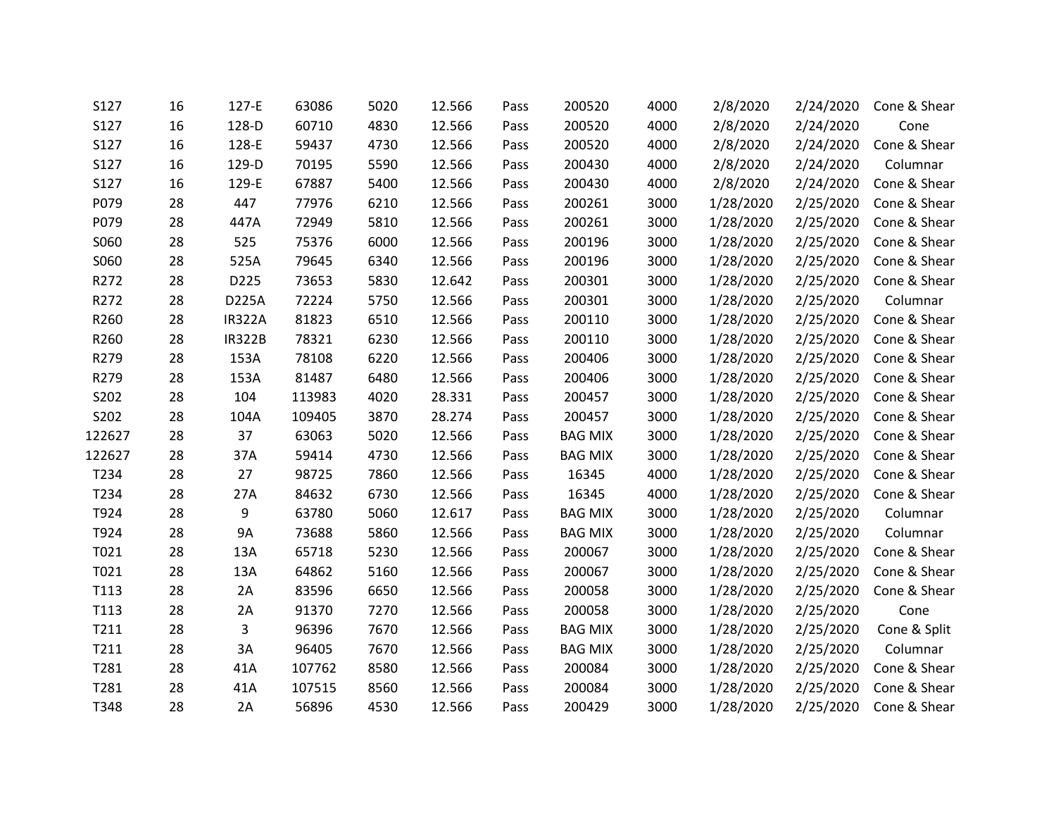| S127   | 16 | 127-E         | 63086  | 5020 | 12.566 | Pass | 200520         | 4000 | 2/8/2020  | 2/24/2020 | Cone & Shear |
|--------|----|---------------|--------|------|--------|------|----------------|------|-----------|-----------|--------------|
| S127   | 16 | 128-D         | 60710  | 4830 | 12.566 | Pass | 200520         | 4000 | 2/8/2020  | 2/24/2020 | Cone         |
| S127   | 16 | 128-E         | 59437  | 4730 | 12.566 | Pass | 200520         | 4000 | 2/8/2020  | 2/24/2020 | Cone & Shear |
| S127   | 16 | 129-D         | 70195  | 5590 | 12.566 | Pass | 200430         | 4000 | 2/8/2020  | 2/24/2020 | Columnar     |
| S127   | 16 | 129-E         | 67887  | 5400 | 12.566 | Pass | 200430         | 4000 | 2/8/2020  | 2/24/2020 | Cone & Shear |
| P079   | 28 | 447           | 77976  | 6210 | 12.566 | Pass | 200261         | 3000 | 1/28/2020 | 2/25/2020 | Cone & Shear |
| P079   | 28 | 447A          | 72949  | 5810 | 12.566 | Pass | 200261         | 3000 | 1/28/2020 | 2/25/2020 | Cone & Shear |
| S060   | 28 | 525           | 75376  | 6000 | 12.566 | Pass | 200196         | 3000 | 1/28/2020 | 2/25/2020 | Cone & Shear |
| S060   | 28 | 525A          | 79645  | 6340 | 12.566 | Pass | 200196         | 3000 | 1/28/2020 | 2/25/2020 | Cone & Shear |
| R272   | 28 | D225          | 73653  | 5830 | 12.642 | Pass | 200301         | 3000 | 1/28/2020 | 2/25/2020 | Cone & Shear |
| R272   | 28 | D225A         | 72224  | 5750 | 12.566 | Pass | 200301         | 3000 | 1/28/2020 | 2/25/2020 | Columnar     |
| R260   | 28 | <b>IR322A</b> | 81823  | 6510 | 12.566 | Pass | 200110         | 3000 | 1/28/2020 | 2/25/2020 | Cone & Shear |
| R260   | 28 | <b>IR322B</b> | 78321  | 6230 | 12.566 | Pass | 200110         | 3000 | 1/28/2020 | 2/25/2020 | Cone & Shear |
| R279   | 28 | 153A          | 78108  | 6220 | 12.566 | Pass | 200406         | 3000 | 1/28/2020 | 2/25/2020 | Cone & Shear |
| R279   | 28 | 153A          | 81487  | 6480 | 12.566 | Pass | 200406         | 3000 | 1/28/2020 | 2/25/2020 | Cone & Shear |
| S202   | 28 | 104           | 113983 | 4020 | 28.331 | Pass | 200457         | 3000 | 1/28/2020 | 2/25/2020 | Cone & Shear |
| S202   | 28 | 104A          | 109405 | 3870 | 28.274 | Pass | 200457         | 3000 | 1/28/2020 | 2/25/2020 | Cone & Shear |
| 122627 | 28 | 37            | 63063  | 5020 | 12.566 | Pass | <b>BAG MIX</b> | 3000 | 1/28/2020 | 2/25/2020 | Cone & Shear |
| 122627 | 28 | 37A           | 59414  | 4730 | 12.566 | Pass | <b>BAG MIX</b> | 3000 | 1/28/2020 | 2/25/2020 | Cone & Shear |
| T234   | 28 | 27            | 98725  | 7860 | 12.566 | Pass | 16345          | 4000 | 1/28/2020 | 2/25/2020 | Cone & Shear |
| T234   | 28 | 27A           | 84632  | 6730 | 12.566 | Pass | 16345          | 4000 | 1/28/2020 | 2/25/2020 | Cone & Shear |
| T924   | 28 | 9             | 63780  | 5060 | 12.617 | Pass | <b>BAG MIX</b> | 3000 | 1/28/2020 | 2/25/2020 | Columnar     |
| T924   | 28 | <b>9A</b>     | 73688  | 5860 | 12.566 | Pass | <b>BAG MIX</b> | 3000 | 1/28/2020 | 2/25/2020 | Columnar     |
| T021   | 28 | 13A           | 65718  | 5230 | 12.566 | Pass | 200067         | 3000 | 1/28/2020 | 2/25/2020 | Cone & Shear |
| T021   | 28 | 13A           | 64862  | 5160 | 12.566 | Pass | 200067         | 3000 | 1/28/2020 | 2/25/2020 | Cone & Shear |
| T113   | 28 | 2A            | 83596  | 6650 | 12.566 | Pass | 200058         | 3000 | 1/28/2020 | 2/25/2020 | Cone & Shear |
| T113   | 28 | 2A            | 91370  | 7270 | 12.566 | Pass | 200058         | 3000 | 1/28/2020 | 2/25/2020 | Cone         |
| T211   | 28 | 3             | 96396  | 7670 | 12.566 | Pass | <b>BAG MIX</b> | 3000 | 1/28/2020 | 2/25/2020 | Cone & Split |
| T211   | 28 | 3A            | 96405  | 7670 | 12.566 | Pass | <b>BAG MIX</b> | 3000 | 1/28/2020 | 2/25/2020 | Columnar     |
| T281   | 28 | 41A           | 107762 | 8580 | 12.566 | Pass | 200084         | 3000 | 1/28/2020 | 2/25/2020 | Cone & Shear |
| T281   | 28 | 41A           | 107515 | 8560 | 12.566 | Pass | 200084         | 3000 | 1/28/2020 | 2/25/2020 | Cone & Shear |
| T348   | 28 | 2A            | 56896  | 4530 | 12.566 | Pass | 200429         | 3000 | 1/28/2020 | 2/25/2020 | Cone & Shear |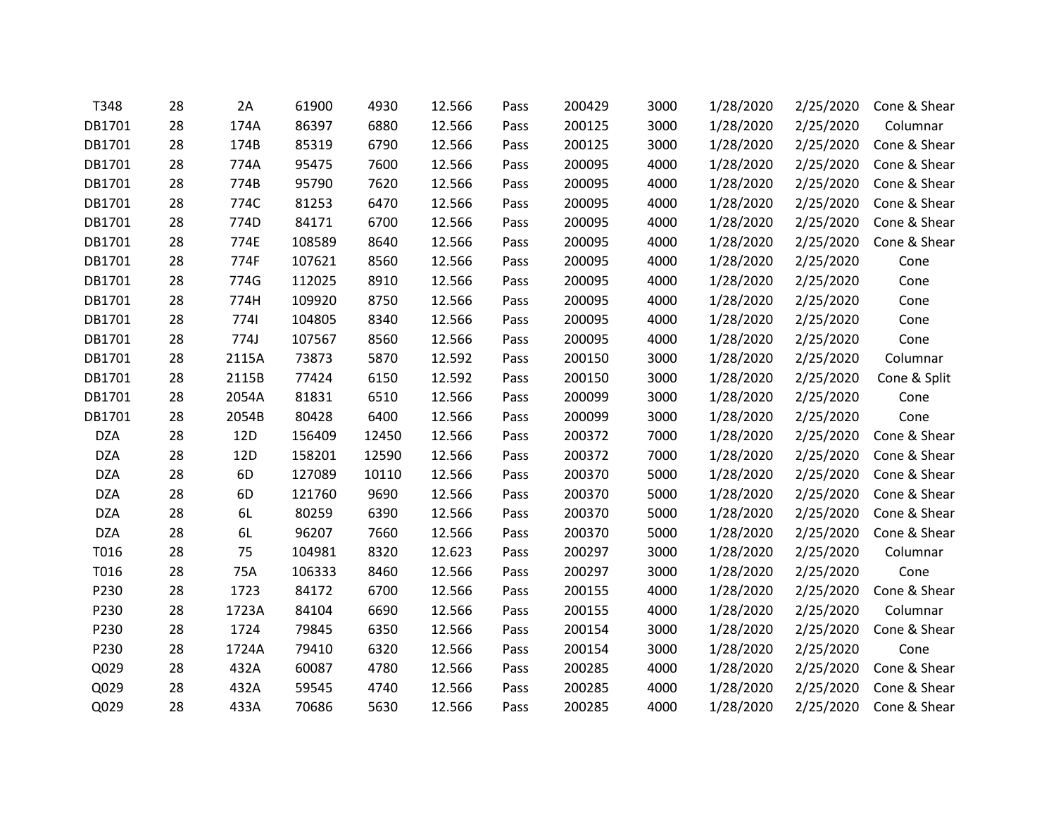| T348       | 28 | 2A    | 61900  | 4930  | 12.566 | Pass | 200429 | 3000 | 1/28/2020 | 2/25/2020 | Cone & Shear |
|------------|----|-------|--------|-------|--------|------|--------|------|-----------|-----------|--------------|
| DB1701     | 28 | 174A  | 86397  | 6880  | 12.566 | Pass | 200125 | 3000 | 1/28/2020 | 2/25/2020 | Columnar     |
| DB1701     | 28 | 174B  | 85319  | 6790  | 12.566 | Pass | 200125 | 3000 | 1/28/2020 | 2/25/2020 | Cone & Shear |
| DB1701     | 28 | 774A  | 95475  | 7600  | 12.566 | Pass | 200095 | 4000 | 1/28/2020 | 2/25/2020 | Cone & Shear |
| DB1701     | 28 | 774B  | 95790  | 7620  | 12.566 | Pass | 200095 | 4000 | 1/28/2020 | 2/25/2020 | Cone & Shear |
| DB1701     | 28 | 774C  | 81253  | 6470  | 12.566 | Pass | 200095 | 4000 | 1/28/2020 | 2/25/2020 | Cone & Shear |
| DB1701     | 28 | 774D  | 84171  | 6700  | 12.566 | Pass | 200095 | 4000 | 1/28/2020 | 2/25/2020 | Cone & Shear |
| DB1701     | 28 | 774E  | 108589 | 8640  | 12.566 | Pass | 200095 | 4000 | 1/28/2020 | 2/25/2020 | Cone & Shear |
| DB1701     | 28 | 774F  | 107621 | 8560  | 12.566 | Pass | 200095 | 4000 | 1/28/2020 | 2/25/2020 | Cone         |
| DB1701     | 28 | 774G  | 112025 | 8910  | 12.566 | Pass | 200095 | 4000 | 1/28/2020 | 2/25/2020 | Cone         |
| DB1701     | 28 | 774H  | 109920 | 8750  | 12.566 | Pass | 200095 | 4000 | 1/28/2020 | 2/25/2020 | Cone         |
| DB1701     | 28 | 7741  | 104805 | 8340  | 12.566 | Pass | 200095 | 4000 | 1/28/2020 | 2/25/2020 | Cone         |
| DB1701     | 28 | 774J  | 107567 | 8560  | 12.566 | Pass | 200095 | 4000 | 1/28/2020 | 2/25/2020 | Cone         |
| DB1701     | 28 | 2115A | 73873  | 5870  | 12.592 | Pass | 200150 | 3000 | 1/28/2020 | 2/25/2020 | Columnar     |
| DB1701     | 28 | 2115B | 77424  | 6150  | 12.592 | Pass | 200150 | 3000 | 1/28/2020 | 2/25/2020 | Cone & Split |
| DB1701     | 28 | 2054A | 81831  | 6510  | 12.566 | Pass | 200099 | 3000 | 1/28/2020 | 2/25/2020 | Cone         |
| DB1701     | 28 | 2054B | 80428  | 6400  | 12.566 | Pass | 200099 | 3000 | 1/28/2020 | 2/25/2020 | Cone         |
| <b>DZA</b> | 28 | 12D   | 156409 | 12450 | 12.566 | Pass | 200372 | 7000 | 1/28/2020 | 2/25/2020 | Cone & Shear |
| <b>DZA</b> | 28 | 12D   | 158201 | 12590 | 12.566 | Pass | 200372 | 7000 | 1/28/2020 | 2/25/2020 | Cone & Shear |
| <b>DZA</b> | 28 | 6D    | 127089 | 10110 | 12.566 | Pass | 200370 | 5000 | 1/28/2020 | 2/25/2020 | Cone & Shear |
| <b>DZA</b> | 28 | 6D    | 121760 | 9690  | 12.566 | Pass | 200370 | 5000 | 1/28/2020 | 2/25/2020 | Cone & Shear |
| <b>DZA</b> | 28 | 6L    | 80259  | 6390  | 12.566 | Pass | 200370 | 5000 | 1/28/2020 | 2/25/2020 | Cone & Shear |
| <b>DZA</b> | 28 | 6L    | 96207  | 7660  | 12.566 | Pass | 200370 | 5000 | 1/28/2020 | 2/25/2020 | Cone & Shear |
| T016       | 28 | 75    | 104981 | 8320  | 12.623 | Pass | 200297 | 3000 | 1/28/2020 | 2/25/2020 | Columnar     |
| T016       | 28 | 75A   | 106333 | 8460  | 12.566 | Pass | 200297 | 3000 | 1/28/2020 | 2/25/2020 | Cone         |
| P230       | 28 | 1723  | 84172  | 6700  | 12.566 | Pass | 200155 | 4000 | 1/28/2020 | 2/25/2020 | Cone & Shear |
| P230       | 28 | 1723A | 84104  | 6690  | 12.566 | Pass | 200155 | 4000 | 1/28/2020 | 2/25/2020 | Columnar     |
| P230       | 28 | 1724  | 79845  | 6350  | 12.566 | Pass | 200154 | 3000 | 1/28/2020 | 2/25/2020 | Cone & Shear |
| P230       | 28 | 1724A | 79410  | 6320  | 12.566 | Pass | 200154 | 3000 | 1/28/2020 | 2/25/2020 | Cone         |
| Q029       | 28 | 432A  | 60087  | 4780  | 12.566 | Pass | 200285 | 4000 | 1/28/2020 | 2/25/2020 | Cone & Shear |
| Q029       | 28 | 432A  | 59545  | 4740  | 12.566 | Pass | 200285 | 4000 | 1/28/2020 | 2/25/2020 | Cone & Shear |
| Q029       | 28 | 433A  | 70686  | 5630  | 12.566 | Pass | 200285 | 4000 | 1/28/2020 | 2/25/2020 | Cone & Shear |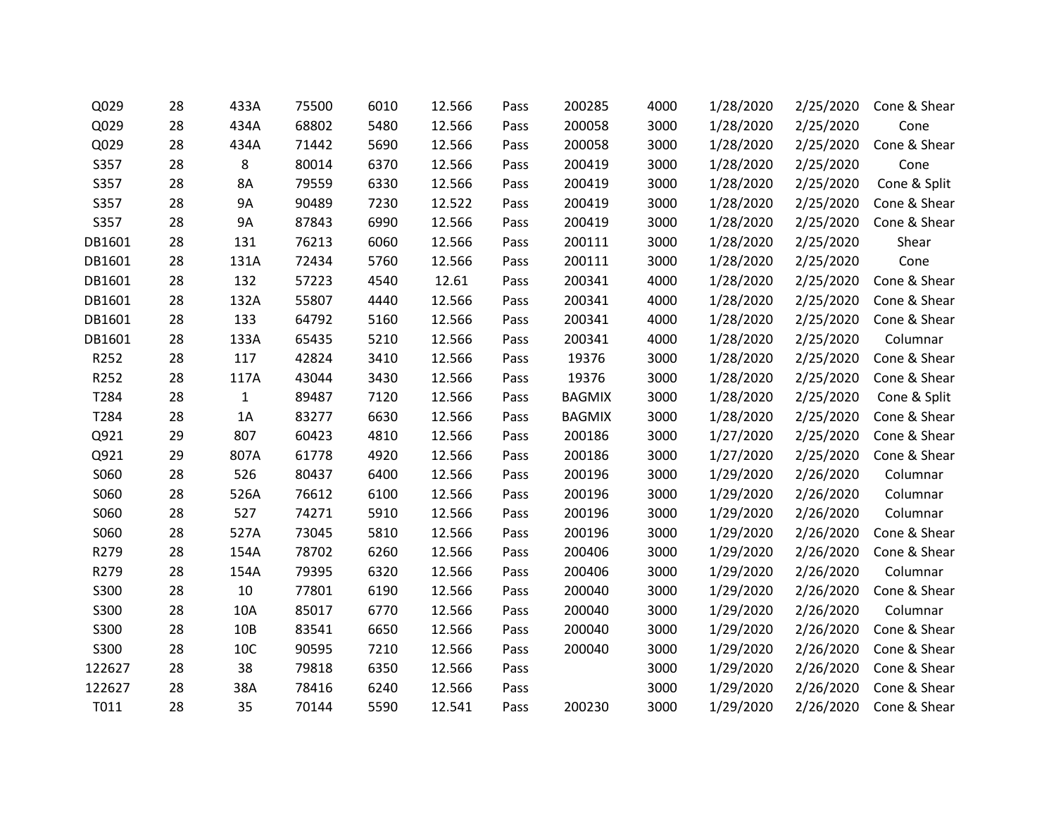| Q029   | 28 | 433A         | 75500 | 6010 | 12.566 | Pass | 200285        | 4000 | 1/28/2020 | 2/25/2020 | Cone & Shear |
|--------|----|--------------|-------|------|--------|------|---------------|------|-----------|-----------|--------------|
| Q029   | 28 | 434A         | 68802 | 5480 | 12.566 | Pass | 200058        | 3000 | 1/28/2020 | 2/25/2020 | Cone         |
| Q029   | 28 | 434A         | 71442 | 5690 | 12.566 | Pass | 200058        | 3000 | 1/28/2020 | 2/25/2020 | Cone & Shear |
| S357   | 28 | 8            | 80014 | 6370 | 12.566 | Pass | 200419        | 3000 | 1/28/2020 | 2/25/2020 | Cone         |
| S357   | 28 | 8A           | 79559 | 6330 | 12.566 | Pass | 200419        | 3000 | 1/28/2020 | 2/25/2020 | Cone & Split |
| S357   | 28 | <b>9A</b>    | 90489 | 7230 | 12.522 | Pass | 200419        | 3000 | 1/28/2020 | 2/25/2020 | Cone & Shear |
| S357   | 28 | <b>9A</b>    | 87843 | 6990 | 12.566 | Pass | 200419        | 3000 | 1/28/2020 | 2/25/2020 | Cone & Shear |
| DB1601 | 28 | 131          | 76213 | 6060 | 12.566 | Pass | 200111        | 3000 | 1/28/2020 | 2/25/2020 | Shear        |
| DB1601 | 28 | 131A         | 72434 | 5760 | 12.566 | Pass | 200111        | 3000 | 1/28/2020 | 2/25/2020 | Cone         |
| DB1601 | 28 | 132          | 57223 | 4540 | 12.61  | Pass | 200341        | 4000 | 1/28/2020 | 2/25/2020 | Cone & Shear |
| DB1601 | 28 | 132A         | 55807 | 4440 | 12.566 | Pass | 200341        | 4000 | 1/28/2020 | 2/25/2020 | Cone & Shear |
| DB1601 | 28 | 133          | 64792 | 5160 | 12.566 | Pass | 200341        | 4000 | 1/28/2020 | 2/25/2020 | Cone & Shear |
| DB1601 | 28 | 133A         | 65435 | 5210 | 12.566 | Pass | 200341        | 4000 | 1/28/2020 | 2/25/2020 | Columnar     |
| R252   | 28 | 117          | 42824 | 3410 | 12.566 | Pass | 19376         | 3000 | 1/28/2020 | 2/25/2020 | Cone & Shear |
| R252   | 28 | 117A         | 43044 | 3430 | 12.566 | Pass | 19376         | 3000 | 1/28/2020 | 2/25/2020 | Cone & Shear |
| T284   | 28 | $\mathbf{1}$ | 89487 | 7120 | 12.566 | Pass | <b>BAGMIX</b> | 3000 | 1/28/2020 | 2/25/2020 | Cone & Split |
| T284   | 28 | 1A           | 83277 | 6630 | 12.566 | Pass | <b>BAGMIX</b> | 3000 | 1/28/2020 | 2/25/2020 | Cone & Shear |
| Q921   | 29 | 807          | 60423 | 4810 | 12.566 | Pass | 200186        | 3000 | 1/27/2020 | 2/25/2020 | Cone & Shear |
| Q921   | 29 | 807A         | 61778 | 4920 | 12.566 | Pass | 200186        | 3000 | 1/27/2020 | 2/25/2020 | Cone & Shear |
| S060   | 28 | 526          | 80437 | 6400 | 12.566 | Pass | 200196        | 3000 | 1/29/2020 | 2/26/2020 | Columnar     |
| S060   | 28 | 526A         | 76612 | 6100 | 12.566 | Pass | 200196        | 3000 | 1/29/2020 | 2/26/2020 | Columnar     |
| S060   | 28 | 527          | 74271 | 5910 | 12.566 | Pass | 200196        | 3000 | 1/29/2020 | 2/26/2020 | Columnar     |
| S060   | 28 | 527A         | 73045 | 5810 | 12.566 | Pass | 200196        | 3000 | 1/29/2020 | 2/26/2020 | Cone & Shear |
| R279   | 28 | 154A         | 78702 | 6260 | 12.566 | Pass | 200406        | 3000 | 1/29/2020 | 2/26/2020 | Cone & Shear |
| R279   | 28 | 154A         | 79395 | 6320 | 12.566 | Pass | 200406        | 3000 | 1/29/2020 | 2/26/2020 | Columnar     |
| S300   | 28 | 10           | 77801 | 6190 | 12.566 | Pass | 200040        | 3000 | 1/29/2020 | 2/26/2020 | Cone & Shear |
| S300   | 28 | 10A          | 85017 | 6770 | 12.566 | Pass | 200040        | 3000 | 1/29/2020 | 2/26/2020 | Columnar     |
| S300   | 28 | 10B          | 83541 | 6650 | 12.566 | Pass | 200040        | 3000 | 1/29/2020 | 2/26/2020 | Cone & Shear |
| S300   | 28 | 10C          | 90595 | 7210 | 12.566 | Pass | 200040        | 3000 | 1/29/2020 | 2/26/2020 | Cone & Shear |
| 122627 | 28 | 38           | 79818 | 6350 | 12.566 | Pass |               | 3000 | 1/29/2020 | 2/26/2020 | Cone & Shear |
| 122627 | 28 | 38A          | 78416 | 6240 | 12.566 | Pass |               | 3000 | 1/29/2020 | 2/26/2020 | Cone & Shear |
| T011   | 28 | 35           | 70144 | 5590 | 12.541 | Pass | 200230        | 3000 | 1/29/2020 | 2/26/2020 | Cone & Shear |
|        |    |              |       |      |        |      |               |      |           |           |              |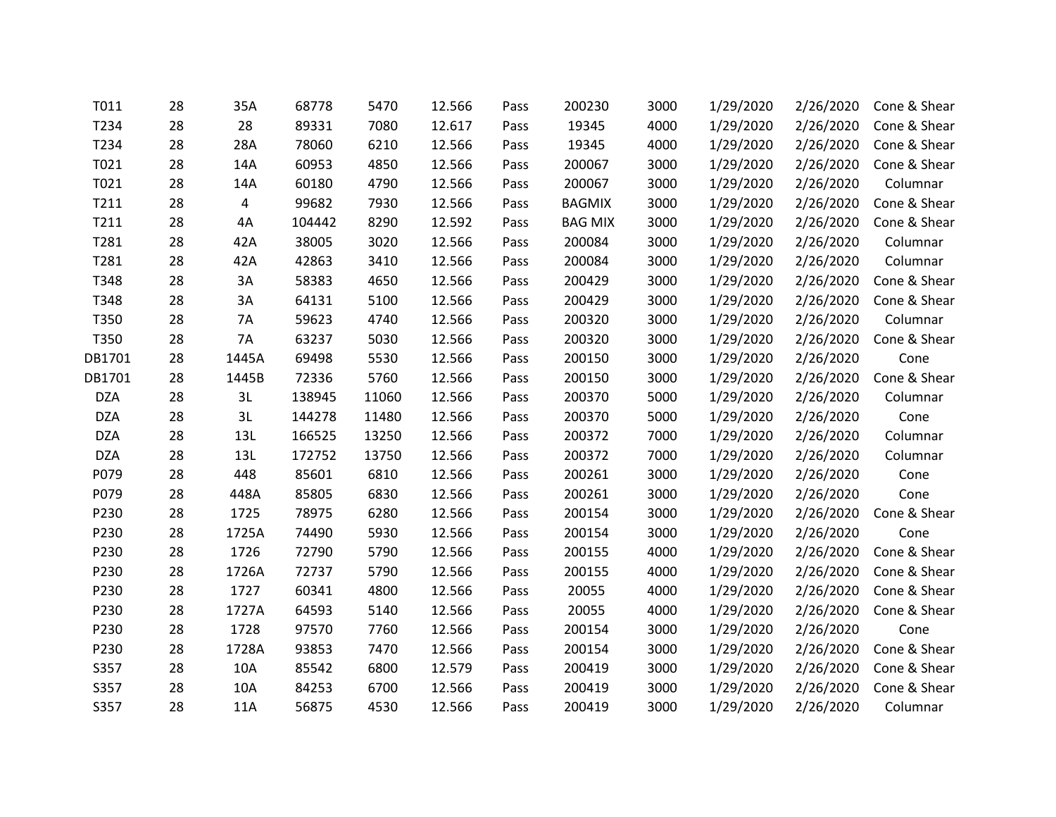| T011       | 28 | 35A            | 68778  | 5470  | 12.566 | Pass | 200230         | 3000 | 1/29/2020 | 2/26/2020 | Cone & Shear |
|------------|----|----------------|--------|-------|--------|------|----------------|------|-----------|-----------|--------------|
| T234       | 28 | 28             | 89331  | 7080  | 12.617 | Pass | 19345          | 4000 | 1/29/2020 | 2/26/2020 | Cone & Shear |
| T234       | 28 | 28A            | 78060  | 6210  | 12.566 | Pass | 19345          | 4000 | 1/29/2020 | 2/26/2020 | Cone & Shear |
| T021       | 28 | 14A            | 60953  | 4850  | 12.566 | Pass | 200067         | 3000 | 1/29/2020 | 2/26/2020 | Cone & Shear |
| T021       | 28 | 14A            | 60180  | 4790  | 12.566 | Pass | 200067         | 3000 | 1/29/2020 | 2/26/2020 | Columnar     |
| T211       | 28 | $\overline{4}$ | 99682  | 7930  | 12.566 | Pass | <b>BAGMIX</b>  | 3000 | 1/29/2020 | 2/26/2020 | Cone & Shear |
| T211       | 28 | 4A             | 104442 | 8290  | 12.592 | Pass | <b>BAG MIX</b> | 3000 | 1/29/2020 | 2/26/2020 | Cone & Shear |
| T281       | 28 | 42A            | 38005  | 3020  | 12.566 | Pass | 200084         | 3000 | 1/29/2020 | 2/26/2020 | Columnar     |
| T281       | 28 | 42A            | 42863  | 3410  | 12.566 | Pass | 200084         | 3000 | 1/29/2020 | 2/26/2020 | Columnar     |
| T348       | 28 | 3A             | 58383  | 4650  | 12.566 | Pass | 200429         | 3000 | 1/29/2020 | 2/26/2020 | Cone & Shear |
| T348       | 28 | 3A             | 64131  | 5100  | 12.566 | Pass | 200429         | 3000 | 1/29/2020 | 2/26/2020 | Cone & Shear |
| T350       | 28 | 7A             | 59623  | 4740  | 12.566 | Pass | 200320         | 3000 | 1/29/2020 | 2/26/2020 | Columnar     |
| T350       | 28 | 7A             | 63237  | 5030  | 12.566 | Pass | 200320         | 3000 | 1/29/2020 | 2/26/2020 | Cone & Shear |
| DB1701     | 28 | 1445A          | 69498  | 5530  | 12.566 | Pass | 200150         | 3000 | 1/29/2020 | 2/26/2020 | Cone         |
| DB1701     | 28 | 1445B          | 72336  | 5760  | 12.566 | Pass | 200150         | 3000 | 1/29/2020 | 2/26/2020 | Cone & Shear |
| <b>DZA</b> | 28 | 3L             | 138945 | 11060 | 12.566 | Pass | 200370         | 5000 | 1/29/2020 | 2/26/2020 | Columnar     |
| <b>DZA</b> | 28 | 3L             | 144278 | 11480 | 12.566 | Pass | 200370         | 5000 | 1/29/2020 | 2/26/2020 | Cone         |
| <b>DZA</b> | 28 | 13L            | 166525 | 13250 | 12.566 | Pass | 200372         | 7000 | 1/29/2020 | 2/26/2020 | Columnar     |
| <b>DZA</b> | 28 | 13L            | 172752 | 13750 | 12.566 | Pass | 200372         | 7000 | 1/29/2020 | 2/26/2020 | Columnar     |
| P079       | 28 | 448            | 85601  | 6810  | 12.566 | Pass | 200261         | 3000 | 1/29/2020 | 2/26/2020 | Cone         |
| P079       | 28 | 448A           | 85805  | 6830  | 12.566 | Pass | 200261         | 3000 | 1/29/2020 | 2/26/2020 | Cone         |
| P230       | 28 | 1725           | 78975  | 6280  | 12.566 | Pass | 200154         | 3000 | 1/29/2020 | 2/26/2020 | Cone & Shear |
| P230       | 28 | 1725A          | 74490  | 5930  | 12.566 | Pass | 200154         | 3000 | 1/29/2020 | 2/26/2020 | Cone         |
| P230       | 28 | 1726           | 72790  | 5790  | 12.566 | Pass | 200155         | 4000 | 1/29/2020 | 2/26/2020 | Cone & Shear |
| P230       | 28 | 1726A          | 72737  | 5790  | 12.566 | Pass | 200155         | 4000 | 1/29/2020 | 2/26/2020 | Cone & Shear |
| P230       | 28 | 1727           | 60341  | 4800  | 12.566 | Pass | 20055          | 4000 | 1/29/2020 | 2/26/2020 | Cone & Shear |
| P230       | 28 | 1727A          | 64593  | 5140  | 12.566 | Pass | 20055          | 4000 | 1/29/2020 | 2/26/2020 | Cone & Shear |
| P230       | 28 | 1728           | 97570  | 7760  | 12.566 | Pass | 200154         | 3000 | 1/29/2020 | 2/26/2020 | Cone         |
| P230       | 28 | 1728A          | 93853  | 7470  | 12.566 | Pass | 200154         | 3000 | 1/29/2020 | 2/26/2020 | Cone & Shear |
| S357       | 28 | 10A            | 85542  | 6800  | 12.579 | Pass | 200419         | 3000 | 1/29/2020 | 2/26/2020 | Cone & Shear |
| S357       | 28 | 10A            | 84253  | 6700  | 12.566 | Pass | 200419         | 3000 | 1/29/2020 | 2/26/2020 | Cone & Shear |
| S357       | 28 | 11A            | 56875  | 4530  | 12.566 | Pass | 200419         | 3000 | 1/29/2020 | 2/26/2020 | Columnar     |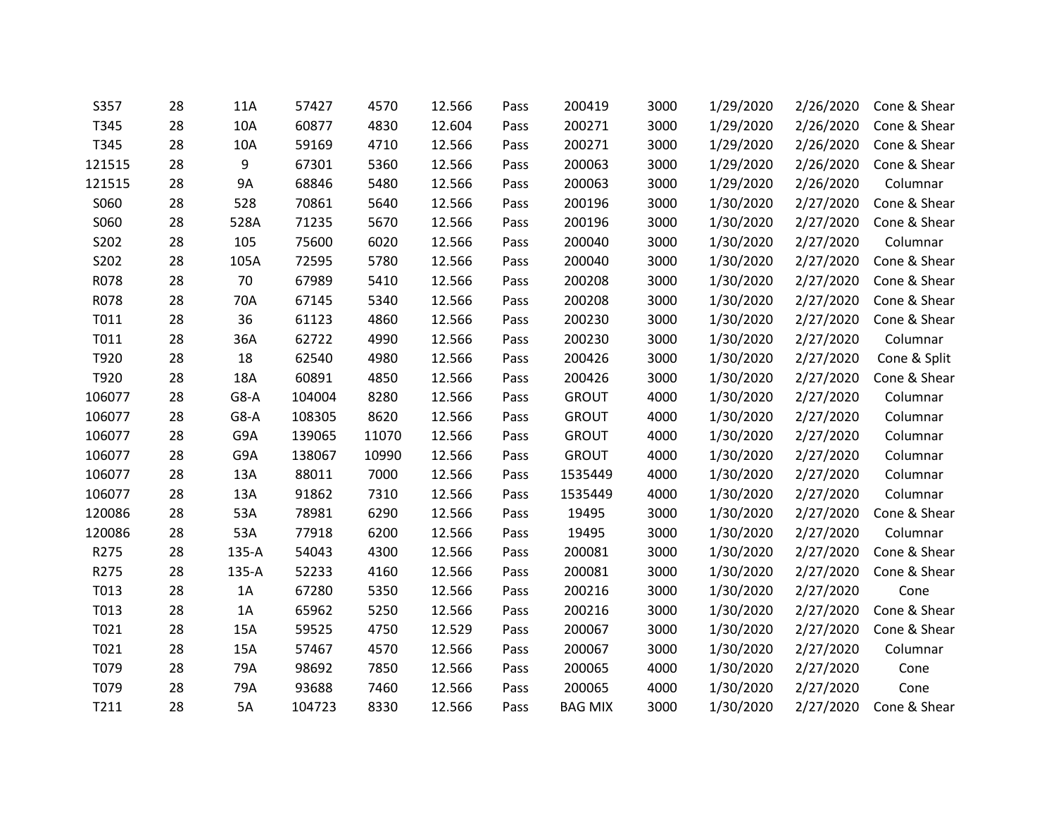| S357   | 28 | 11A    | 57427  | 4570  | 12.566 | Pass | 200419         | 3000 | 1/29/2020 | 2/26/2020 | Cone & Shear |
|--------|----|--------|--------|-------|--------|------|----------------|------|-----------|-----------|--------------|
| T345   | 28 | 10A    | 60877  | 4830  | 12.604 | Pass | 200271         | 3000 | 1/29/2020 | 2/26/2020 | Cone & Shear |
| T345   | 28 | 10A    | 59169  | 4710  | 12.566 | Pass | 200271         | 3000 | 1/29/2020 | 2/26/2020 | Cone & Shear |
| 121515 | 28 | 9      | 67301  | 5360  | 12.566 | Pass | 200063         | 3000 | 1/29/2020 | 2/26/2020 | Cone & Shear |
| 121515 | 28 | 9A     | 68846  | 5480  | 12.566 | Pass | 200063         | 3000 | 1/29/2020 | 2/26/2020 | Columnar     |
| S060   | 28 | 528    | 70861  | 5640  | 12.566 | Pass | 200196         | 3000 | 1/30/2020 | 2/27/2020 | Cone & Shear |
| S060   | 28 | 528A   | 71235  | 5670  | 12.566 | Pass | 200196         | 3000 | 1/30/2020 | 2/27/2020 | Cone & Shear |
| S202   | 28 | 105    | 75600  | 6020  | 12.566 | Pass | 200040         | 3000 | 1/30/2020 | 2/27/2020 | Columnar     |
| S202   | 28 | 105A   | 72595  | 5780  | 12.566 | Pass | 200040         | 3000 | 1/30/2020 | 2/27/2020 | Cone & Shear |
| R078   | 28 | 70     | 67989  | 5410  | 12.566 | Pass | 200208         | 3000 | 1/30/2020 | 2/27/2020 | Cone & Shear |
| R078   | 28 | 70A    | 67145  | 5340  | 12.566 | Pass | 200208         | 3000 | 1/30/2020 | 2/27/2020 | Cone & Shear |
| T011   | 28 | 36     | 61123  | 4860  | 12.566 | Pass | 200230         | 3000 | 1/30/2020 | 2/27/2020 | Cone & Shear |
| T011   | 28 | 36A    | 62722  | 4990  | 12.566 | Pass | 200230         | 3000 | 1/30/2020 | 2/27/2020 | Columnar     |
| T920   | 28 | 18     | 62540  | 4980  | 12.566 | Pass | 200426         | 3000 | 1/30/2020 | 2/27/2020 | Cone & Split |
| T920   | 28 | 18A    | 60891  | 4850  | 12.566 | Pass | 200426         | 3000 | 1/30/2020 | 2/27/2020 | Cone & Shear |
| 106077 | 28 | $G8-A$ | 104004 | 8280  | 12.566 | Pass | <b>GROUT</b>   | 4000 | 1/30/2020 | 2/27/2020 | Columnar     |
| 106077 | 28 | $G8-A$ | 108305 | 8620  | 12.566 | Pass | <b>GROUT</b>   | 4000 | 1/30/2020 | 2/27/2020 | Columnar     |
| 106077 | 28 | G9A    | 139065 | 11070 | 12.566 | Pass | <b>GROUT</b>   | 4000 | 1/30/2020 | 2/27/2020 | Columnar     |
| 106077 | 28 | G9A    | 138067 | 10990 | 12.566 | Pass | <b>GROUT</b>   | 4000 | 1/30/2020 | 2/27/2020 | Columnar     |
| 106077 | 28 | 13A    | 88011  | 7000  | 12.566 | Pass | 1535449        | 4000 | 1/30/2020 | 2/27/2020 | Columnar     |
| 106077 | 28 | 13A    | 91862  | 7310  | 12.566 | Pass | 1535449        | 4000 | 1/30/2020 | 2/27/2020 | Columnar     |
| 120086 | 28 | 53A    | 78981  | 6290  | 12.566 | Pass | 19495          | 3000 | 1/30/2020 | 2/27/2020 | Cone & Shear |
| 120086 | 28 | 53A    | 77918  | 6200  | 12.566 | Pass | 19495          | 3000 | 1/30/2020 | 2/27/2020 | Columnar     |
| R275   | 28 | 135-A  | 54043  | 4300  | 12.566 | Pass | 200081         | 3000 | 1/30/2020 | 2/27/2020 | Cone & Shear |
| R275   | 28 | 135-A  | 52233  | 4160  | 12.566 | Pass | 200081         | 3000 | 1/30/2020 | 2/27/2020 | Cone & Shear |
| T013   | 28 | 1A     | 67280  | 5350  | 12.566 | Pass | 200216         | 3000 | 1/30/2020 | 2/27/2020 | Cone         |
| T013   | 28 | 1A     | 65962  | 5250  | 12.566 | Pass | 200216         | 3000 | 1/30/2020 | 2/27/2020 | Cone & Shear |
| T021   | 28 | 15A    | 59525  | 4750  | 12.529 | Pass | 200067         | 3000 | 1/30/2020 | 2/27/2020 | Cone & Shear |
| T021   | 28 | 15A    | 57467  | 4570  | 12.566 | Pass | 200067         | 3000 | 1/30/2020 | 2/27/2020 | Columnar     |
| T079   | 28 | 79A    | 98692  | 7850  | 12.566 | Pass | 200065         | 4000 | 1/30/2020 | 2/27/2020 | Cone         |
| T079   | 28 | 79A    | 93688  | 7460  | 12.566 | Pass | 200065         | 4000 | 1/30/2020 | 2/27/2020 | Cone         |
| T211   | 28 | 5A     | 104723 | 8330  | 12.566 | Pass | <b>BAG MIX</b> | 3000 | 1/30/2020 | 2/27/2020 | Cone & Shear |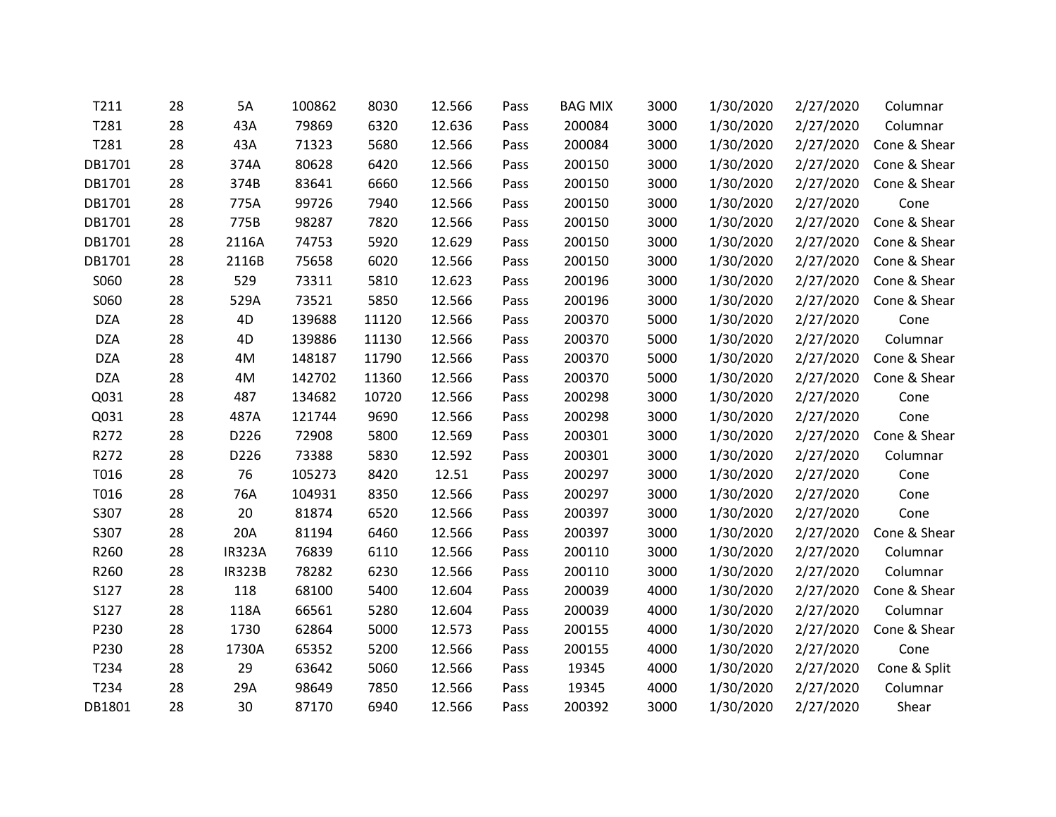| T211       | 28 | 5A            | 100862 | 8030  | 12.566 | Pass | <b>BAG MIX</b> | 3000 | 1/30/2020 | 2/27/2020 | Columnar     |
|------------|----|---------------|--------|-------|--------|------|----------------|------|-----------|-----------|--------------|
| T281       | 28 | 43A           | 79869  | 6320  | 12.636 | Pass | 200084         | 3000 | 1/30/2020 | 2/27/2020 | Columnar     |
| T281       | 28 | 43A           | 71323  | 5680  | 12.566 | Pass | 200084         | 3000 | 1/30/2020 | 2/27/2020 | Cone & Shear |
| DB1701     | 28 | 374A          | 80628  | 6420  | 12.566 | Pass | 200150         | 3000 | 1/30/2020 | 2/27/2020 | Cone & Shear |
| DB1701     | 28 | 374B          | 83641  | 6660  | 12.566 | Pass | 200150         | 3000 | 1/30/2020 | 2/27/2020 | Cone & Shear |
| DB1701     | 28 | 775A          | 99726  | 7940  | 12.566 | Pass | 200150         | 3000 | 1/30/2020 | 2/27/2020 | Cone         |
| DB1701     | 28 | 775B          | 98287  | 7820  | 12.566 | Pass | 200150         | 3000 | 1/30/2020 | 2/27/2020 | Cone & Shear |
| DB1701     | 28 | 2116A         | 74753  | 5920  | 12.629 | Pass | 200150         | 3000 | 1/30/2020 | 2/27/2020 | Cone & Shear |
| DB1701     | 28 | 2116B         | 75658  | 6020  | 12.566 | Pass | 200150         | 3000 | 1/30/2020 | 2/27/2020 | Cone & Shear |
| S060       | 28 | 529           | 73311  | 5810  | 12.623 | Pass | 200196         | 3000 | 1/30/2020 | 2/27/2020 | Cone & Shear |
| S060       | 28 | 529A          | 73521  | 5850  | 12.566 | Pass | 200196         | 3000 | 1/30/2020 | 2/27/2020 | Cone & Shear |
| <b>DZA</b> | 28 | 4D            | 139688 | 11120 | 12.566 | Pass | 200370         | 5000 | 1/30/2020 | 2/27/2020 | Cone         |
| <b>DZA</b> | 28 | 4D            | 139886 | 11130 | 12.566 | Pass | 200370         | 5000 | 1/30/2020 | 2/27/2020 | Columnar     |
| <b>DZA</b> | 28 | 4M            | 148187 | 11790 | 12.566 | Pass | 200370         | 5000 | 1/30/2020 | 2/27/2020 | Cone & Shear |
| <b>DZA</b> | 28 | 4M            | 142702 | 11360 | 12.566 | Pass | 200370         | 5000 | 1/30/2020 | 2/27/2020 | Cone & Shear |
| Q031       | 28 | 487           | 134682 | 10720 | 12.566 | Pass | 200298         | 3000 | 1/30/2020 | 2/27/2020 | Cone         |
| Q031       | 28 | 487A          | 121744 | 9690  | 12.566 | Pass | 200298         | 3000 | 1/30/2020 | 2/27/2020 | Cone         |
| R272       | 28 | D226          | 72908  | 5800  | 12.569 | Pass | 200301         | 3000 | 1/30/2020 | 2/27/2020 | Cone & Shear |
| R272       | 28 | D226          | 73388  | 5830  | 12.592 | Pass | 200301         | 3000 | 1/30/2020 | 2/27/2020 | Columnar     |
| T016       | 28 | 76            | 105273 | 8420  | 12.51  | Pass | 200297         | 3000 | 1/30/2020 | 2/27/2020 | Cone         |
| T016       | 28 | 76A           | 104931 | 8350  | 12.566 | Pass | 200297         | 3000 | 1/30/2020 | 2/27/2020 | Cone         |
| S307       | 28 | 20            | 81874  | 6520  | 12.566 | Pass | 200397         | 3000 | 1/30/2020 | 2/27/2020 | Cone         |
| S307       | 28 | 20A           | 81194  | 6460  | 12.566 | Pass | 200397         | 3000 | 1/30/2020 | 2/27/2020 | Cone & Shear |
| R260       | 28 | <b>IR323A</b> | 76839  | 6110  | 12.566 | Pass | 200110         | 3000 | 1/30/2020 | 2/27/2020 | Columnar     |
| R260       | 28 | <b>IR323B</b> | 78282  | 6230  | 12.566 | Pass | 200110         | 3000 | 1/30/2020 | 2/27/2020 | Columnar     |
| S127       | 28 | 118           | 68100  | 5400  | 12.604 | Pass | 200039         | 4000 | 1/30/2020 | 2/27/2020 | Cone & Shear |
| S127       | 28 | 118A          | 66561  | 5280  | 12.604 | Pass | 200039         | 4000 | 1/30/2020 | 2/27/2020 | Columnar     |
| P230       | 28 | 1730          | 62864  | 5000  | 12.573 | Pass | 200155         | 4000 | 1/30/2020 | 2/27/2020 | Cone & Shear |
| P230       | 28 | 1730A         | 65352  | 5200  | 12.566 | Pass | 200155         | 4000 | 1/30/2020 | 2/27/2020 | Cone         |
| T234       | 28 | 29            | 63642  | 5060  | 12.566 | Pass | 19345          | 4000 | 1/30/2020 | 2/27/2020 | Cone & Split |
| T234       | 28 | 29A           | 98649  | 7850  | 12.566 | Pass | 19345          | 4000 | 1/30/2020 | 2/27/2020 | Columnar     |
| DB1801     | 28 | 30            | 87170  | 6940  | 12.566 | Pass | 200392         | 3000 | 1/30/2020 | 2/27/2020 | Shear        |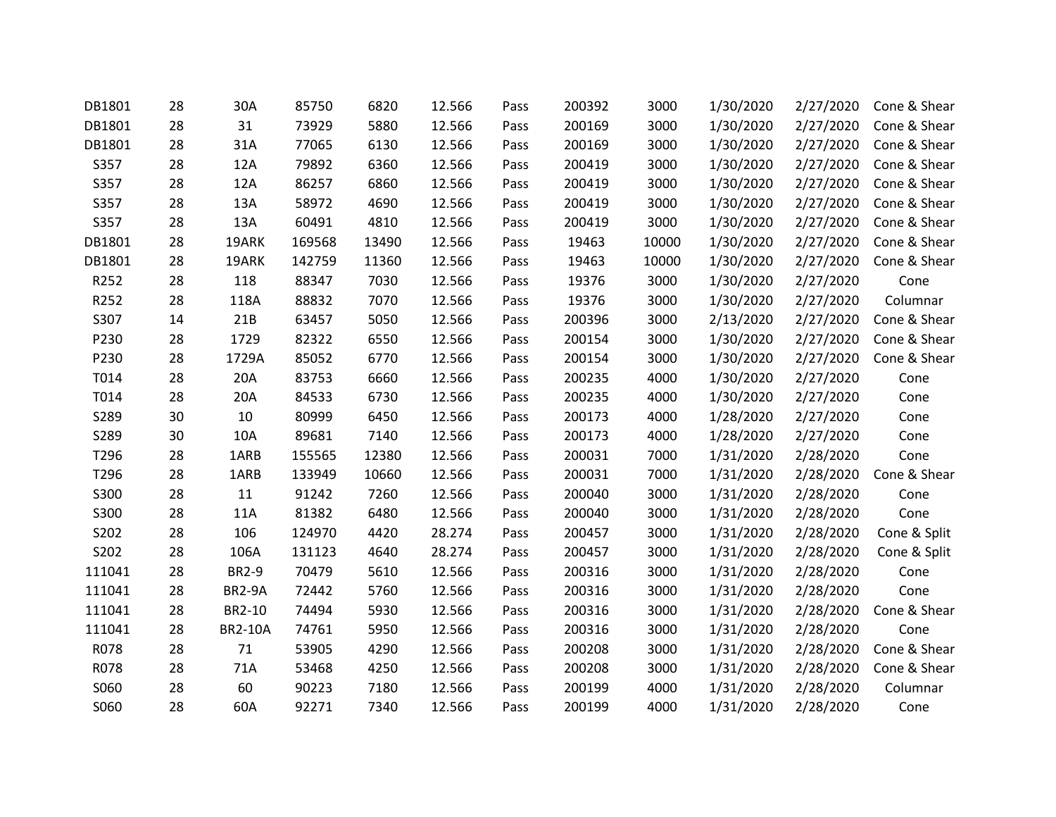| DB1801 | 28 | 30A            | 85750  | 6820  | 12.566 | Pass | 200392 | 3000  | 1/30/2020 | 2/27/2020 | Cone & Shear |
|--------|----|----------------|--------|-------|--------|------|--------|-------|-----------|-----------|--------------|
| DB1801 | 28 | 31             | 73929  | 5880  | 12.566 | Pass | 200169 | 3000  | 1/30/2020 | 2/27/2020 | Cone & Shear |
| DB1801 | 28 | 31A            | 77065  | 6130  | 12.566 | Pass | 200169 | 3000  | 1/30/2020 | 2/27/2020 | Cone & Shear |
| S357   | 28 | 12A            | 79892  | 6360  | 12.566 | Pass | 200419 | 3000  | 1/30/2020 | 2/27/2020 | Cone & Shear |
| S357   | 28 | 12A            | 86257  | 6860  | 12.566 | Pass | 200419 | 3000  | 1/30/2020 | 2/27/2020 | Cone & Shear |
| S357   | 28 | 13A            | 58972  | 4690  | 12.566 | Pass | 200419 | 3000  | 1/30/2020 | 2/27/2020 | Cone & Shear |
| S357   | 28 | 13A            | 60491  | 4810  | 12.566 | Pass | 200419 | 3000  | 1/30/2020 | 2/27/2020 | Cone & Shear |
| DB1801 | 28 | 19ARK          | 169568 | 13490 | 12.566 | Pass | 19463  | 10000 | 1/30/2020 | 2/27/2020 | Cone & Shear |
| DB1801 | 28 | 19ARK          | 142759 | 11360 | 12.566 | Pass | 19463  | 10000 | 1/30/2020 | 2/27/2020 | Cone & Shear |
| R252   | 28 | 118            | 88347  | 7030  | 12.566 | Pass | 19376  | 3000  | 1/30/2020 | 2/27/2020 | Cone         |
| R252   | 28 | 118A           | 88832  | 7070  | 12.566 | Pass | 19376  | 3000  | 1/30/2020 | 2/27/2020 | Columnar     |
| S307   | 14 | 21B            | 63457  | 5050  | 12.566 | Pass | 200396 | 3000  | 2/13/2020 | 2/27/2020 | Cone & Shear |
| P230   | 28 | 1729           | 82322  | 6550  | 12.566 | Pass | 200154 | 3000  | 1/30/2020 | 2/27/2020 | Cone & Shear |
| P230   | 28 | 1729A          | 85052  | 6770  | 12.566 | Pass | 200154 | 3000  | 1/30/2020 | 2/27/2020 | Cone & Shear |
| T014   | 28 | 20A            | 83753  | 6660  | 12.566 | Pass | 200235 | 4000  | 1/30/2020 | 2/27/2020 | Cone         |
| T014   | 28 | 20A            | 84533  | 6730  | 12.566 | Pass | 200235 | 4000  | 1/30/2020 | 2/27/2020 | Cone         |
| S289   | 30 | 10             | 80999  | 6450  | 12.566 | Pass | 200173 | 4000  | 1/28/2020 | 2/27/2020 | Cone         |
| S289   | 30 | 10A            | 89681  | 7140  | 12.566 | Pass | 200173 | 4000  | 1/28/2020 | 2/27/2020 | Cone         |
| T296   | 28 | 1ARB           | 155565 | 12380 | 12.566 | Pass | 200031 | 7000  | 1/31/2020 | 2/28/2020 | Cone         |
| T296   | 28 | 1ARB           | 133949 | 10660 | 12.566 | Pass | 200031 | 7000  | 1/31/2020 | 2/28/2020 | Cone & Shear |
| S300   | 28 | 11             | 91242  | 7260  | 12.566 | Pass | 200040 | 3000  | 1/31/2020 | 2/28/2020 | Cone         |
| S300   | 28 | 11A            | 81382  | 6480  | 12.566 | Pass | 200040 | 3000  | 1/31/2020 | 2/28/2020 | Cone         |
| S202   | 28 | 106            | 124970 | 4420  | 28.274 | Pass | 200457 | 3000  | 1/31/2020 | 2/28/2020 | Cone & Split |
| S202   | 28 | 106A           | 131123 | 4640  | 28.274 | Pass | 200457 | 3000  | 1/31/2020 | 2/28/2020 | Cone & Split |
| 111041 | 28 | <b>BR2-9</b>   | 70479  | 5610  | 12.566 | Pass | 200316 | 3000  | 1/31/2020 | 2/28/2020 | Cone         |
| 111041 | 28 | <b>BR2-9A</b>  | 72442  | 5760  | 12.566 | Pass | 200316 | 3000  | 1/31/2020 | 2/28/2020 | Cone         |
| 111041 | 28 | BR2-10         | 74494  | 5930  | 12.566 | Pass | 200316 | 3000  | 1/31/2020 | 2/28/2020 | Cone & Shear |
| 111041 | 28 | <b>BR2-10A</b> | 74761  | 5950  | 12.566 | Pass | 200316 | 3000  | 1/31/2020 | 2/28/2020 | Cone         |
| R078   | 28 | 71             | 53905  | 4290  | 12.566 | Pass | 200208 | 3000  | 1/31/2020 | 2/28/2020 | Cone & Shear |
| R078   | 28 | 71A            | 53468  | 4250  | 12.566 | Pass | 200208 | 3000  | 1/31/2020 | 2/28/2020 | Cone & Shear |
| S060   | 28 | 60             | 90223  | 7180  | 12.566 | Pass | 200199 | 4000  | 1/31/2020 | 2/28/2020 | Columnar     |
| S060   | 28 | 60A            | 92271  | 7340  | 12.566 | Pass | 200199 | 4000  | 1/31/2020 | 2/28/2020 | Cone         |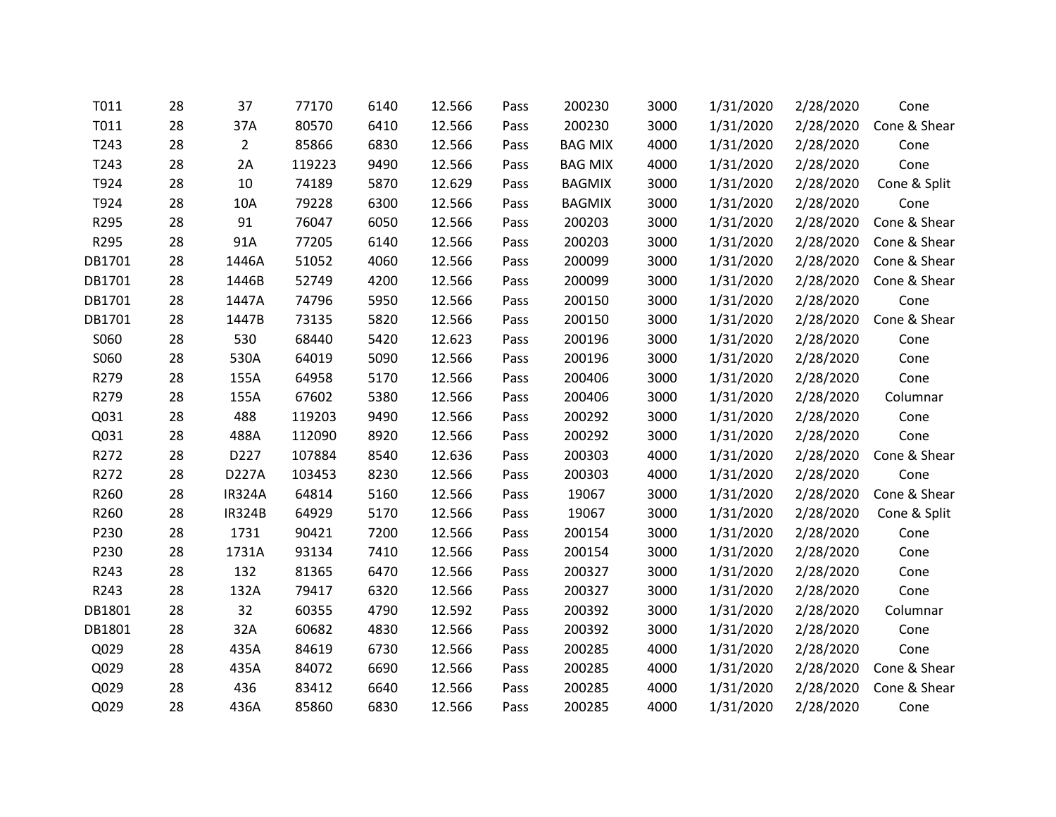| T011   | 28 | 37             | 77170  | 6140 | 12.566 | Pass | 200230         | 3000 | 1/31/2020 | 2/28/2020 | Cone         |
|--------|----|----------------|--------|------|--------|------|----------------|------|-----------|-----------|--------------|
| T011   | 28 | 37A            | 80570  | 6410 | 12.566 | Pass | 200230         | 3000 | 1/31/2020 | 2/28/2020 | Cone & Shear |
| T243   | 28 | $\overline{2}$ | 85866  | 6830 | 12.566 | Pass | <b>BAG MIX</b> | 4000 | 1/31/2020 | 2/28/2020 | Cone         |
| T243   | 28 | 2A             | 119223 | 9490 | 12.566 | Pass | <b>BAG MIX</b> | 4000 | 1/31/2020 | 2/28/2020 | Cone         |
| T924   | 28 | 10             | 74189  | 5870 | 12.629 | Pass | <b>BAGMIX</b>  | 3000 | 1/31/2020 | 2/28/2020 | Cone & Split |
| T924   | 28 | 10A            | 79228  | 6300 | 12.566 | Pass | <b>BAGMIX</b>  | 3000 | 1/31/2020 | 2/28/2020 | Cone         |
| R295   | 28 | 91             | 76047  | 6050 | 12.566 | Pass | 200203         | 3000 | 1/31/2020 | 2/28/2020 | Cone & Shear |
| R295   | 28 | 91A            | 77205  | 6140 | 12.566 | Pass | 200203         | 3000 | 1/31/2020 | 2/28/2020 | Cone & Shear |
| DB1701 | 28 | 1446A          | 51052  | 4060 | 12.566 | Pass | 200099         | 3000 | 1/31/2020 | 2/28/2020 | Cone & Shear |
| DB1701 | 28 | 1446B          | 52749  | 4200 | 12.566 | Pass | 200099         | 3000 | 1/31/2020 | 2/28/2020 | Cone & Shear |
| DB1701 | 28 | 1447A          | 74796  | 5950 | 12.566 | Pass | 200150         | 3000 | 1/31/2020 | 2/28/2020 | Cone         |
| DB1701 | 28 | 1447B          | 73135  | 5820 | 12.566 | Pass | 200150         | 3000 | 1/31/2020 | 2/28/2020 | Cone & Shear |
| S060   | 28 | 530            | 68440  | 5420 | 12.623 | Pass | 200196         | 3000 | 1/31/2020 | 2/28/2020 | Cone         |
| S060   | 28 | 530A           | 64019  | 5090 | 12.566 | Pass | 200196         | 3000 | 1/31/2020 | 2/28/2020 | Cone         |
| R279   | 28 | 155A           | 64958  | 5170 | 12.566 | Pass | 200406         | 3000 | 1/31/2020 | 2/28/2020 | Cone         |
| R279   | 28 | 155A           | 67602  | 5380 | 12.566 | Pass | 200406         | 3000 | 1/31/2020 | 2/28/2020 | Columnar     |
| Q031   | 28 | 488            | 119203 | 9490 | 12.566 | Pass | 200292         | 3000 | 1/31/2020 | 2/28/2020 | Cone         |
| Q031   | 28 | 488A           | 112090 | 8920 | 12.566 | Pass | 200292         | 3000 | 1/31/2020 | 2/28/2020 | Cone         |
| R272   | 28 | D227           | 107884 | 8540 | 12.636 | Pass | 200303         | 4000 | 1/31/2020 | 2/28/2020 | Cone & Shear |
| R272   | 28 | D227A          | 103453 | 8230 | 12.566 | Pass | 200303         | 4000 | 1/31/2020 | 2/28/2020 | Cone         |
| R260   | 28 | <b>IR324A</b>  | 64814  | 5160 | 12.566 | Pass | 19067          | 3000 | 1/31/2020 | 2/28/2020 | Cone & Shear |
| R260   | 28 | <b>IR324B</b>  | 64929  | 5170 | 12.566 | Pass | 19067          | 3000 | 1/31/2020 | 2/28/2020 | Cone & Split |
| P230   | 28 | 1731           | 90421  | 7200 | 12.566 | Pass | 200154         | 3000 | 1/31/2020 | 2/28/2020 | Cone         |
| P230   | 28 | 1731A          | 93134  | 7410 | 12.566 | Pass | 200154         | 3000 | 1/31/2020 | 2/28/2020 | Cone         |
| R243   | 28 | 132            | 81365  | 6470 | 12.566 | Pass | 200327         | 3000 | 1/31/2020 | 2/28/2020 | Cone         |
| R243   | 28 | 132A           | 79417  | 6320 | 12.566 | Pass | 200327         | 3000 | 1/31/2020 | 2/28/2020 | Cone         |
| DB1801 | 28 | 32             | 60355  | 4790 | 12.592 | Pass | 200392         | 3000 | 1/31/2020 | 2/28/2020 | Columnar     |
| DB1801 | 28 | 32A            | 60682  | 4830 | 12.566 | Pass | 200392         | 3000 | 1/31/2020 | 2/28/2020 | Cone         |
| Q029   | 28 | 435A           | 84619  | 6730 | 12.566 | Pass | 200285         | 4000 | 1/31/2020 | 2/28/2020 | Cone         |
| Q029   | 28 | 435A           | 84072  | 6690 | 12.566 | Pass | 200285         | 4000 | 1/31/2020 | 2/28/2020 | Cone & Shear |
| Q029   | 28 | 436            | 83412  | 6640 | 12.566 | Pass | 200285         | 4000 | 1/31/2020 | 2/28/2020 | Cone & Shear |
| Q029   | 28 | 436A           | 85860  | 6830 | 12.566 | Pass | 200285         | 4000 | 1/31/2020 | 2/28/2020 | Cone         |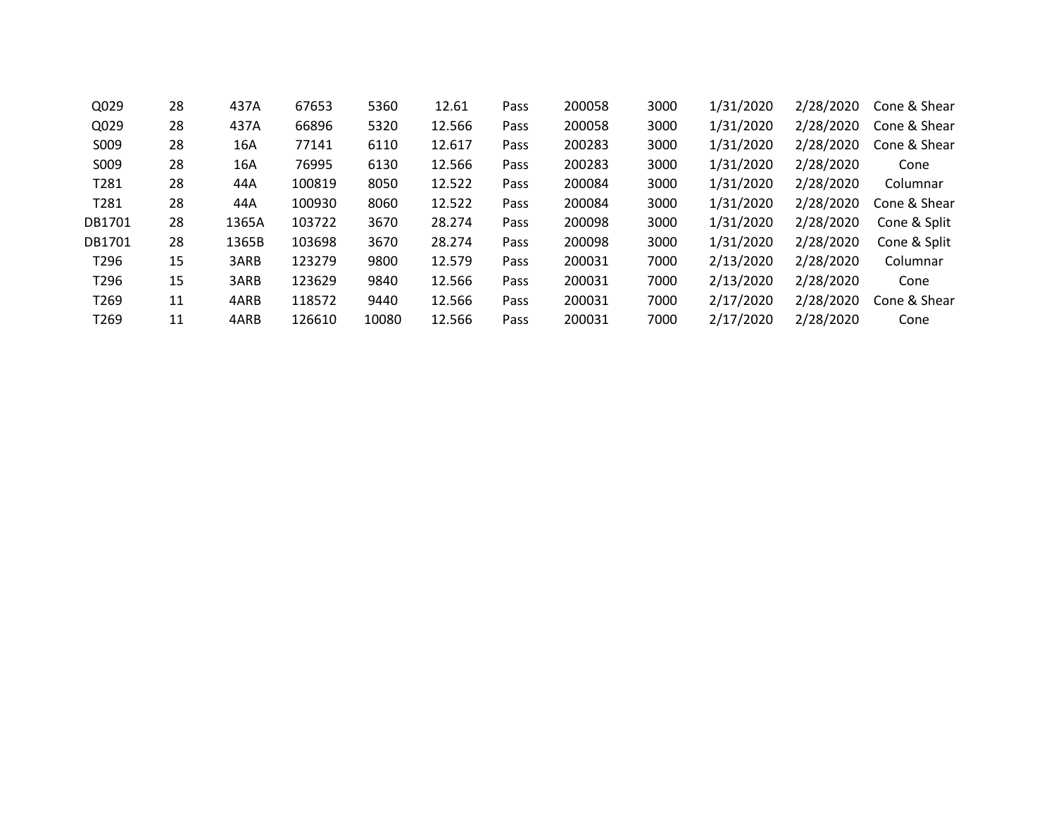| Q029              | 28 | 437A  | 67653  | 5360  | 12.61  | Pass | 200058 | 3000 | 1/31/2020 | 2/28/2020 | Cone & Shear |
|-------------------|----|-------|--------|-------|--------|------|--------|------|-----------|-----------|--------------|
| Q029              | 28 | 437A  | 66896  | 5320  | 12.566 | Pass | 200058 | 3000 | 1/31/2020 | 2/28/2020 | Cone & Shear |
| S009              | 28 | 16A   | 77141  | 6110  | 12.617 | Pass | 200283 | 3000 | 1/31/2020 | 2/28/2020 | Cone & Shear |
| S009              | 28 | 16A   | 76995  | 6130  | 12.566 | Pass | 200283 | 3000 | 1/31/2020 | 2/28/2020 | Cone         |
| T <sub>2</sub> 81 | 28 | 44A   | 100819 | 8050  | 12.522 | Pass | 200084 | 3000 | 1/31/2020 | 2/28/2020 | Columnar     |
| T <sub>2</sub> 81 | 28 | 44A   | 100930 | 8060  | 12.522 | Pass | 200084 | 3000 | 1/31/2020 | 2/28/2020 | Cone & Shear |
| DB1701            | 28 | 1365A | 103722 | 3670  | 28.274 | Pass | 200098 | 3000 | 1/31/2020 | 2/28/2020 | Cone & Split |
| DB1701            | 28 | 1365B | 103698 | 3670  | 28.274 | Pass | 200098 | 3000 | 1/31/2020 | 2/28/2020 | Cone & Split |
| T <sub>296</sub>  | 15 | 3ARB  | 123279 | 9800  | 12.579 | Pass | 200031 | 7000 | 2/13/2020 | 2/28/2020 | Columnar     |
| T <sub>296</sub>  | 15 | 3ARB  | 123629 | 9840  | 12.566 | Pass | 200031 | 7000 | 2/13/2020 | 2/28/2020 | Cone         |
| T <sub>269</sub>  | 11 | 4ARB  | 118572 | 9440  | 12.566 | Pass | 200031 | 7000 | 2/17/2020 | 2/28/2020 | Cone & Shear |
| T <sub>269</sub>  | 11 | 4ARB  | 126610 | 10080 | 12.566 | Pass | 200031 | 7000 | 2/17/2020 | 2/28/2020 | Cone         |
|                   |    |       |        |       |        |      |        |      |           |           |              |